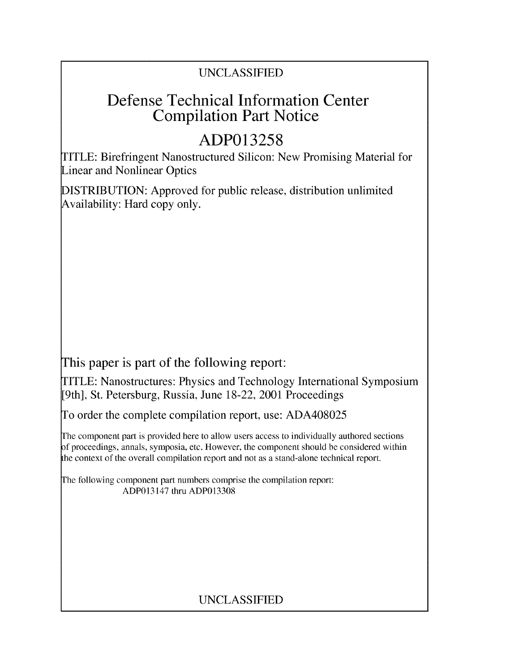## UNCLASSIFIED

# Defense Technical Information Center Compilation Part Notice

# **ADP013258**

TITLE: Birefringent Nanostructured Silicon: New Promising Material for Linear and Nonlinear Optics

DISTRIBUTION: Approved for public release, distribution unlimited Availability: Hard copy only.

This paper is part of the following report:

TITLE: Nanostructures: Physics and Technology International Symposium [9th], St. Petersburg, Russia, June 18-22, 2001 Proceedings

To order the complete compilation report, use: ADA408025

The component part is provided here to allow users access to individually authored sections f proceedings, annals, symposia, etc. However, the component should be considered within the context of the overall compilation report and not as a stand-alone technical report.

The following component part numbers comprise the compilation report: ADP013147 thru ADP013308

## UNCLASSIFIED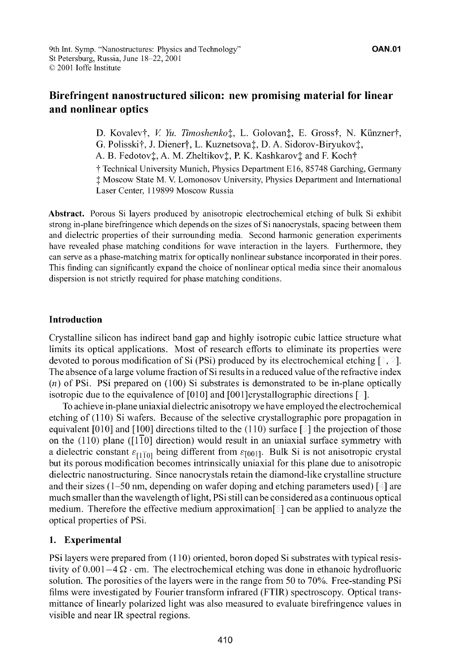### Birefringent nanostructured silicon: new promising material for linear and nonlinear optics

D. Kovalev†, *V. Yu. Timoshenko*<sup>†</sup>, L. Golovan<sup>†</sup>, E. Gross†, N. Künzner†, G. Polisski†, J. Diener†, L. Kuznetsova‡, D. A. Sidorov-Biryukov‡, A. B. Fedotov‡, A. M. Zheltikov‡, P. K. Kashkarov‡ and F. Koch†

t Technical University Munich, Physics Department E16, 85748 Garching, Germany **I** Moscow State M. V. Lomonosov University, Physics Department and International Laser Center, 119899 Moscow Russia

Abstract. Porous Si layers produced by anisotropic electrochemical etching of bulk Si exhibit strong in-plane birefringence which depends on the sizes of Si nanocrystals, spacing between them and dielectric properties of their surrounding media. Second harmonic generation experiments have revealed phase matching conditions for wave interaction in the layers. Furthermore, they can serve as a phase-matching matrix for optically nonlinear substance incorporated in their pores. This finding can significantly expand the choice of nonlinear optical media since their anomalous dispersion is not strictly required for phase matching conditions.

### Introduction

Crystalline silicon has indirect band gap and highly isotropic cubic lattice structure what limits its optical applications. Most of research efforts to eliminate its properties were devoted to porous modification of Si (PSi) produced by its electrochemical etching  $[\cdot, \cdot]$ . The absence of a large volume fraction of Si results in a reduced value of the refractive index *(n)* of PSi. PSi prepared on (100) Si substrates is demonstrated to be in-plane optically isotropic due to the equivalence of  $[010]$  and  $[001]$ crystallographic directions  $[3]$ .

To achieve in-plane uniaxial dielectric anisotropy we have employed the electrochemical etching of (110) Si wafers. Because of the selective crystallographic pore propagation in equivalent [010] and [100] directions tilted to the (110) surface [3] the projection of those on the  $(110)$  plane  $(110)$  direction) would result in an uniaxial surface symmetry with a dielectric constant  $\varepsilon_{11}$ <sub>10</sub> being different from  $\varepsilon_{10011}$ . Bulk Si is not anisotropic crystal but its porous modification becomes intrinsically uniaxial for this plane due to anisotropic dielectric nanostructuring. Since nanocrystals retain the diamond-like crystalline structure and their sizes (1–50 nm, depending on wafer doping and etching parameters used) [4] are much smaller than the wavelength of light, PSi still can be considered as a continuous optical medium. Therefore the effective medium approximation  $\lceil \cdot \rceil$  can be applied to analyze the optical properties of PSi.

### 1. Experimental

PSi layers were prepared from (110) oriented, boron doped Si substrates with typical resistivity of  $0.001-4\Omega \cdot$  cm. The electrochemical etching was done in ethanoic hydrofluoric solution. The porosities of the layers were in the range from 50 to **70%.** Free-standing PSi films were investigated by Fourier transform infrared (FTIR) spectroscopy. Optical transmittance of linearly polarized light was also measured to evaluate birefringence values in visible and near IR spectral regions.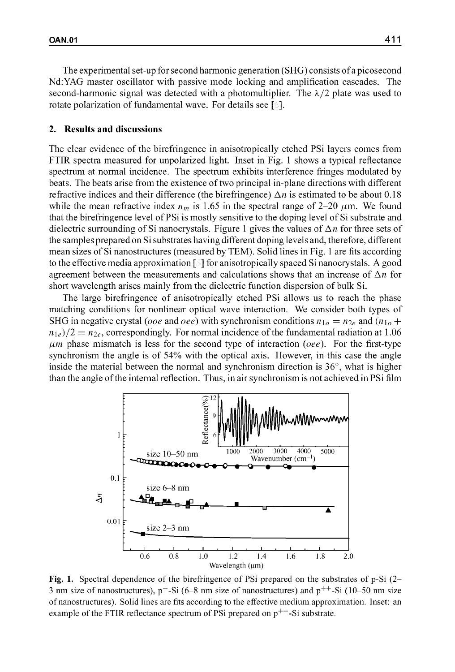The experimental set-up for second harmonic generation (SHG) consists of a picosecond Nd:YAG master oscillator with passive mode locking and amplification cascades. The second-harmonic signal was detected with a photomultiplier. The  $\lambda/2$  plate was used to rotate polarization of fundamental wave. For details see [...].

#### 2. Results and discussions

The clear evidence of the birefringence in anisotropically etched PSi layers comes from FTIR spectra measured for unpolarized light. Inset in Fig. 1 shows a typical reflectance spectrum at normal incidence. The spectrum exhibits interference fringes modulated by beats. The beats arise from the existence of two principal in-plane directions with different refractive indices and their difference (the birefringence)  $\Delta n$  is estimated to be about 0.18 while the mean refractive index  $n_m$  is 1.65 in the spectral range of 2-20  $\mu$ m. We found that the birefringence level of PSi is mostly sensitive to the doping level of Si substrate and dielectric surrounding of Si nanocrystals. Figure 1 gives the values of  $\Delta n$  for three sets of the samples prepared on Si substrates having different doping levels and, therefore, different mean sizes of Si nanostructures (measured by TEM). Solid lines in Fig. 1 are fits according to the effective media approximation [ **]** for anisotropically spaced Si nanocrystals. A good agreement between the measurements and calculations shows that an increase of  $\Delta n$  for short wavelength arises mainly from the dielectric function dispersion of bulk Si.

The large birefringence of anisotropically etched PSi allows us to reach the phase matching conditions for nonlinear optical wave interaction. We consider both types of SHG in negative crystal (*ooe* and *oee*) with synchronism conditions  $n_{10} = n_{2e}$  and ( $n_{10}$  +  $n_{1e}/2 = n_{2e}$ , correspondingly. For normal incidence of the fundamental radiation at 1.06  $\mu$ *m* phase mismatch is less for the second type of interaction *(oee)*. For the first-type synchronism the angle is of 54% with the optical axis. However, in this case the angle inside the material between the normal and synchronism direction is  $36^{\circ}$ , what is higher than the angle of the internal reflection. Thus, in air synchronism is not achieved in PSi film



Fig. 1. Spectral dependence of the birefringence of PSi prepared on the substrates of p-Si (2- 3 nm size of nanostructures),  $p^+$ -Si (6–8 nm size of nanostructures) and  $p^{++}$ -Si (10–50 nm size of nanostructures). Solid lines are fits according to the effective medium approximation. Inset: an example of the FTIR reflectance spectrum of PSi prepared on  $p^{++}$ -Si substrate.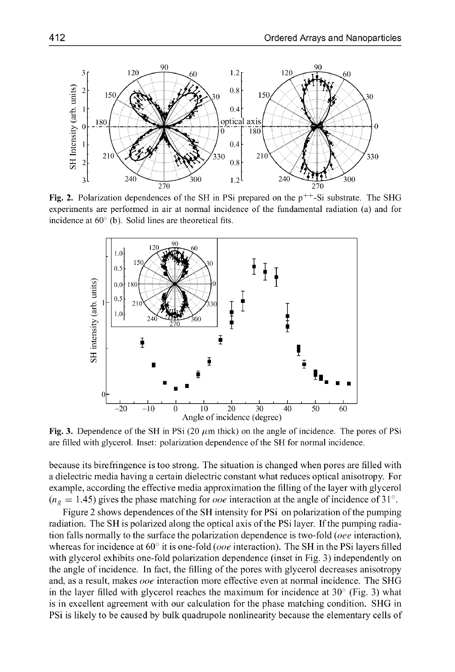

Fig. 2. Polarization dependences of the SH in PSi prepared on the  $p^{++}$ -Si substrate. The SHG experiments are performed in air at normal incidence of the fundamental radiation (a) and for incidence at **60'** (b). Solid lines are theoretical fits.



**Fig. 3.** Dependence of the SH in PSi (20  $\mu$ m thick) on the angle of incidence. The pores of PSi are filled with glycerol. Inset: polarization dependence of the **SH** for normal incidence.

because its birefringence is too strong. The situation is changed when pores are filled with a dielectric media having a certain dielectric constant what reduces optical anisotropy. For example, according the effective media approximation the filling of the layer with glycerol  $(n_g = 1.45)$  gives the phase matching for *ooe* interaction at the angle of incidence of 31<sup>o</sup>.

Figure 2 shows dependences of the SH intensity for PSi on polarization of the pumping radiation. The SH is polarized along the optical axis of the PSi layer. If the pumping radiation falls normally to the surface the polarization dependence is two-fold (*oee* interaction), whereas for incidence at  $60^\circ$  it is one-fold (*ooe* interaction). The SH in the PSi layers filled with glycerol exhibits one-fold polarization dependence (inset in Fig. **3)** independently on the angle of incidence. In fact, the filling of the pores with glycerol decreases anisotropy and, as a result, makes ooe interaction more effective even at normal incidence. The **SHG** in the layer filled with glycerol reaches the maximum for incidence at **30** (Fig. **3)** what is in excellent agreement with our calculation for the phase matching condition. **SHG** in PSi is likely to be caused by bulk quadrupole nonlinearity because the elementary cells of